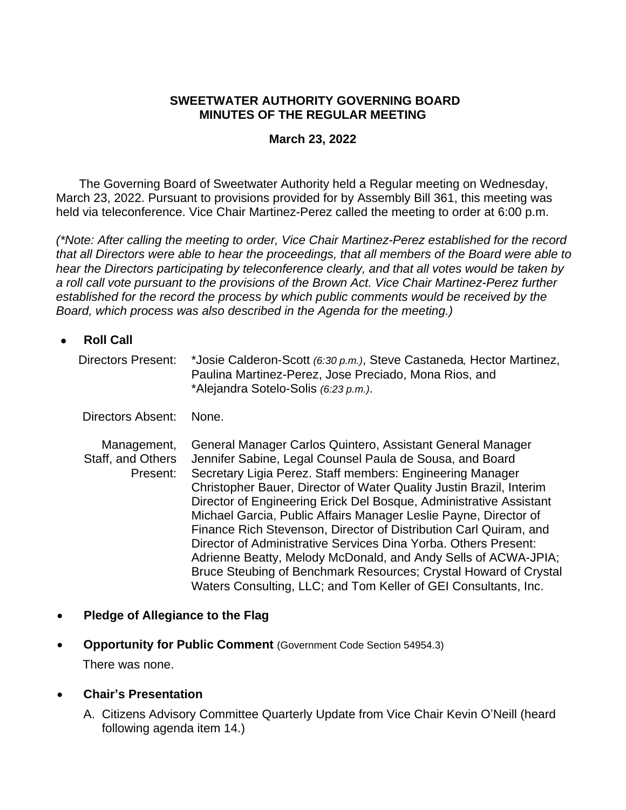#### **SWEETWATER AUTHORITY GOVERNING BOARD MINUTES OF THE REGULAR MEETING**

#### **March 23, 2022**

The Governing Board of Sweetwater Authority held a Regular meeting on Wednesday, March 23, 2022. Pursuant to provisions provided for by Assembly Bill 361, this meeting was held via teleconference. Vice Chair Martinez-Perez called the meeting to order at 6:00 p.m.

*(\*Note: After calling the meeting to order, Vice Chair Martinez-Perez established for the record that all Directors were able to hear the proceedings, that all members of the Board were able to hear the Directors participating by teleconference clearly, and that all votes would be taken by a roll call vote pursuant to the provisions of the Brown Act. Vice Chair Martinez-Perez further established for the record the process by which public comments would be received by the Board, which process was also described in the Agenda for the meeting.)*

| <b>Roll Call</b>                             |                                                                                                                                                                                                                                                                                                                                  |
|----------------------------------------------|----------------------------------------------------------------------------------------------------------------------------------------------------------------------------------------------------------------------------------------------------------------------------------------------------------------------------------|
| Directors Present:                           | *Josie Calderon-Scott (6:30 p.m.), Steve Castaneda, Hector Martinez,<br>Paulina Martinez-Perez, Jose Preciado, Mona Rios, and<br>*Alejandra Sotelo-Solis (6:23 p.m.).                                                                                                                                                            |
| Directors Absent:                            | None.                                                                                                                                                                                                                                                                                                                            |
| Management,<br>Staff, and Others<br>Present: | General Manager Carlos Quintero, Assistant General Manager<br>Jennifer Sabine, Legal Counsel Paula de Sousa, and Board<br>Secretary Ligia Perez. Staff members: Engineering Manager<br>Christopher Bauer, Director of Water Quality Justin Brazil, Interim<br>Director of Engineering Erick Del Bosque, Administrative Assistant |

Michael Garcia, Public Affairs Manager Leslie Payne, Director of Finance Rich Stevenson, Director of Distribution Carl Quiram, and Director of Administrative Services Dina Yorba. Others Present: Adrienne Beatty, Melody McDonald, and Andy Sells of ACWA-JPIA; Bruce Steubing of Benchmark Resources; Crystal Howard of Crystal Waters Consulting, LLC; and Tom Keller of GEI Consultants, Inc.

- **Pledge of Allegiance to the Flag**
- **Opportunity for Public Comment** (Government Code Section 54954.3) There was none.
- **Chair's Presentation**
	- A. Citizens Advisory Committee Quarterly Update from Vice Chair Kevin O'Neill (heard following agenda item 14.)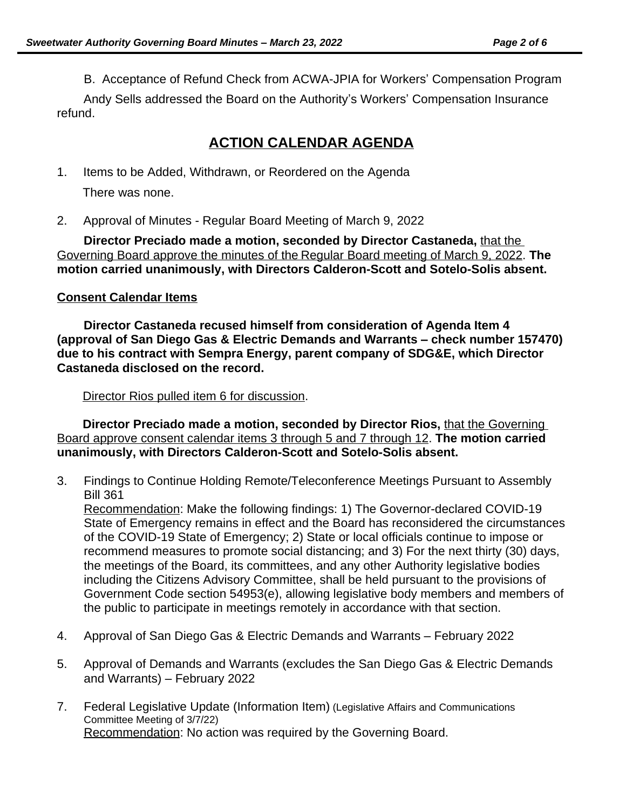B. Acceptance of Refund Check from ACWA-JPIA for Workers' Compensation Program

Andy Sells addressed the Board on the Authority's Workers' Compensation Insurance refund.

# **ACTION CALENDAR AGENDA**

- 1. Items to be Added, Withdrawn, or Reordered on the Agenda There was none.
- 2. Approval of Minutes Regular Board Meeting of March 9, 2022

**Director Preciado made a motion, seconded by Director Castaneda,** that the Governing Board approve the minutes of the Regular Board meeting of March 9, 2022. **The motion carried unanimously, with Directors Calderon-Scott and Sotelo-Solis absent.**

#### **Consent Calendar Items**

**Director Castaneda recused himself from consideration of Agenda Item 4 (approval of San Diego Gas & Electric Demands and Warrants – check number 157470) due to his contract with Sempra Energy, parent company of SDG&E, which Director Castaneda disclosed on the record.**

Director Rios pulled item 6 for discussion.

**Director Preciado made a motion, seconded by Director Rios,** that the Governing Board approve consent calendar items 3 through 5 and 7 through 12. **The motion carried unanimously, with Directors Calderon-Scott and Sotelo-Solis absent.**

3. Findings to Continue Holding Remote/Teleconference Meetings Pursuant to Assembly Bill 361

Recommendation: Make the following findings: 1) The Governor-declared COVID-19 State of Emergency remains in effect and the Board has reconsidered the circumstances of the COVID-19 State of Emergency; 2) State or local officials continue to impose or recommend measures to promote social distancing; and 3) For the next thirty (30) days, the meetings of the Board, its committees, and any other Authority legislative bodies including the Citizens Advisory Committee, shall be held pursuant to the provisions of Government Code section 54953(e), allowing legislative body members and members of the public to participate in meetings remotely in accordance with that section.

- 4. Approval of San Diego Gas & Electric Demands and Warrants February 2022
- 5. Approval of Demands and Warrants (excludes the San Diego Gas & Electric Demands and Warrants) – February 2022
- 7. Federal Legislative Update (Information Item) (Legislative Affairs and Communications Committee Meeting of 3/7/22) Recommendation: No action was required by the Governing Board.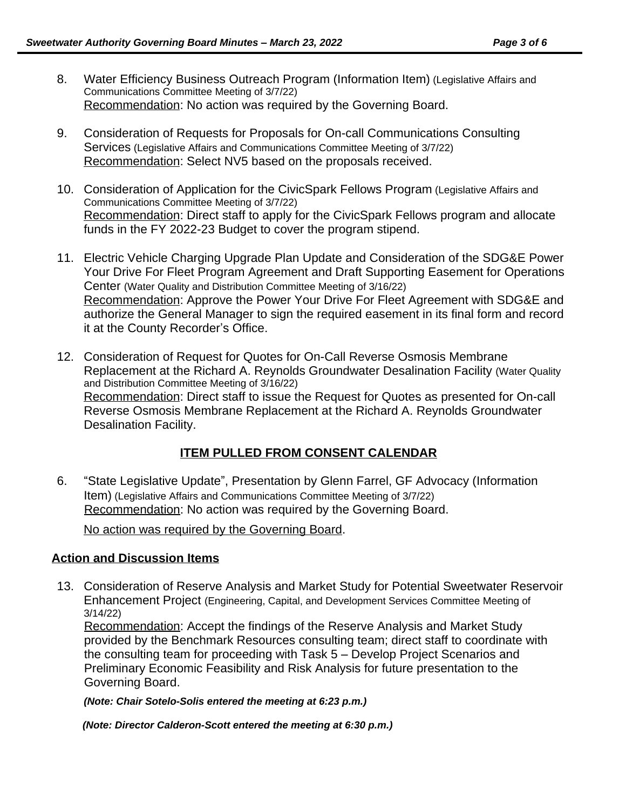- 8. Water Efficiency Business Outreach Program (Information Item) (Legislative Affairs and Communications Committee Meeting of 3/7/22) Recommendation: No action was required by the Governing Board.
- 9. Consideration of Requests for Proposals for On-call Communications Consulting Services (Legislative Affairs and Communications Committee Meeting of 3/7/22) Recommendation: Select NV5 based on the proposals received.
- 10. Consideration of Application for the CivicSpark Fellows Program (Legislative Affairs and Communications Committee Meeting of 3/7/22) Recommendation: Direct staff to apply for the CivicSpark Fellows program and allocate funds in the FY 2022-23 Budget to cover the program stipend.
- 11. Electric Vehicle Charging Upgrade Plan Update and Consideration of the SDG&E Power Your Drive For Fleet Program Agreement and Draft Supporting Easement for Operations Center (Water Quality and Distribution Committee Meeting of 3/16/22) Recommendation: Approve the Power Your Drive For Fleet Agreement with SDG&E and authorize the General Manager to sign the required easement in its final form and record it at the County Recorder's Office.
- 12. Consideration of Request for Quotes for On-Call Reverse Osmosis Membrane Replacement at the Richard A. Reynolds Groundwater Desalination Facility (Water Quality and Distribution Committee Meeting of 3/16/22) Recommendation: Direct staff to issue the Request for Quotes as presented for On-call Reverse Osmosis Membrane Replacement at the Richard A. Reynolds Groundwater Desalination Facility.

## **ITEM PULLED FROM CONSENT CALENDAR**

6. "State Legislative Update", Presentation by Glenn Farrel, GF Advocacy (Information Item) (Legislative Affairs and Communications Committee Meeting of 3/7/22) Recommendation: No action was required by the Governing Board.

No action was required by the Governing Board.

#### **Action and Discussion Items**

13. Consideration of Reserve Analysis and Market Study for Potential Sweetwater Reservoir Enhancement Project (Engineering, Capital, and Development Services Committee Meeting of 3/14/22)

Recommendation: Accept the findings of the Reserve Analysis and Market Study provided by the Benchmark Resources consulting team; direct staff to coordinate with the consulting team for proceeding with Task 5 – Develop Project Scenarios and Preliminary Economic Feasibility and Risk Analysis for future presentation to the Governing Board.

*(Note: Chair Sotelo-Solis entered the meeting at 6:23 p.m.)*

*(Note: Director Calderon-Scott entered the meeting at 6:30 p.m.)*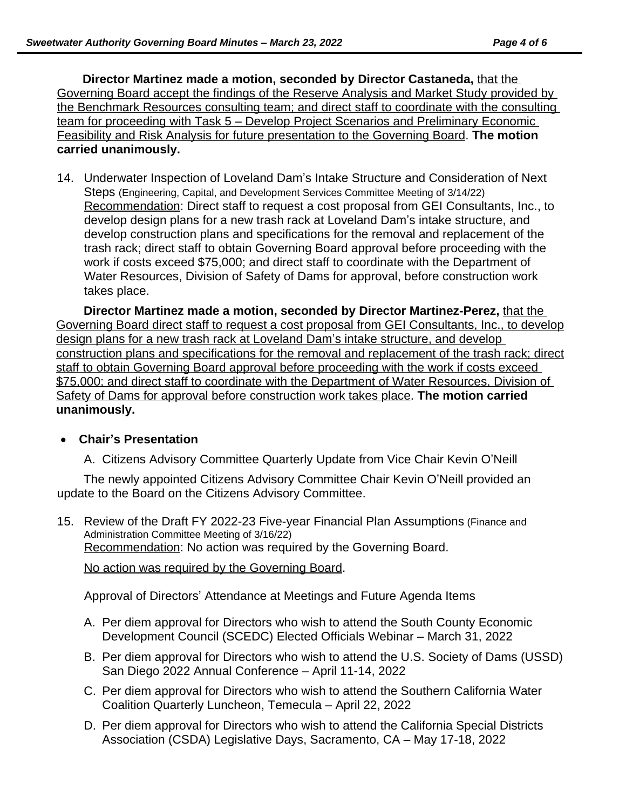**Director Martinez made a motion, seconded by Director Castaneda,** that the Governing Board accept the findings of the Reserve Analysis and Market Study provided by the Benchmark Resources consulting team; and direct staff to coordinate with the consulting team for proceeding with Task 5 – Develop Project Scenarios and Preliminary Economic Feasibility and Risk Analysis for future presentation to the Governing Board. **The motion carried unanimously.**

14. Underwater Inspection of Loveland Dam's Intake Structure and Consideration of Next Steps (Engineering, Capital, and Development Services Committee Meeting of 3/14/22) Recommendation: Direct staff to request a cost proposal from GEI Consultants, Inc., to develop design plans for a new trash rack at Loveland Dam's intake structure, and develop construction plans and specifications for the removal and replacement of the trash rack; direct staff to obtain Governing Board approval before proceeding with the work if costs exceed \$75,000; and direct staff to coordinate with the Department of Water Resources, Division of Safety of Dams for approval, before construction work takes place.

**Director Martinez made a motion, seconded by Director Martinez-Perez,** that the Governing Board direct staff to request a cost proposal from GEI Consultants, Inc., to develop design plans for a new trash rack at Loveland Dam's intake structure, and develop construction plans and specifications for the removal and replacement of the trash rack; direct staff to obtain Governing Board approval before proceeding with the work if costs exceed \$75,000; and direct staff to coordinate with the Department of Water Resources, Division of Safety of Dams for approval before construction work takes place. **The motion carried unanimously.**

## **Chair's Presentation**

A. Citizens Advisory Committee Quarterly Update from Vice Chair Kevin O'Neill

The newly appointed Citizens Advisory Committee Chair Kevin O'Neill provided an update to the Board on the Citizens Advisory Committee.

15. Review of the Draft FY 2022-23 Five-year Financial Plan Assumptions (Finance and Administration Committee Meeting of 3/16/22) Recommendation: No action was required by the Governing Board.

No action was required by the Governing Board.

Approval of Directors' Attendance at Meetings and Future Agenda Items

- A. Per diem approval for Directors who wish to attend the South County Economic Development Council (SCEDC) Elected Officials Webinar – March 31, 2022
- B. Per diem approval for Directors who wish to attend the U.S. Society of Dams (USSD) San Diego 2022 Annual Conference – April 11-14, 2022
- C. Per diem approval for Directors who wish to attend the Southern California Water Coalition Quarterly Luncheon, Temecula – April 22, 2022
- D. Per diem approval for Directors who wish to attend the California Special Districts Association (CSDA) Legislative Days, Sacramento, CA – May 17-18, 2022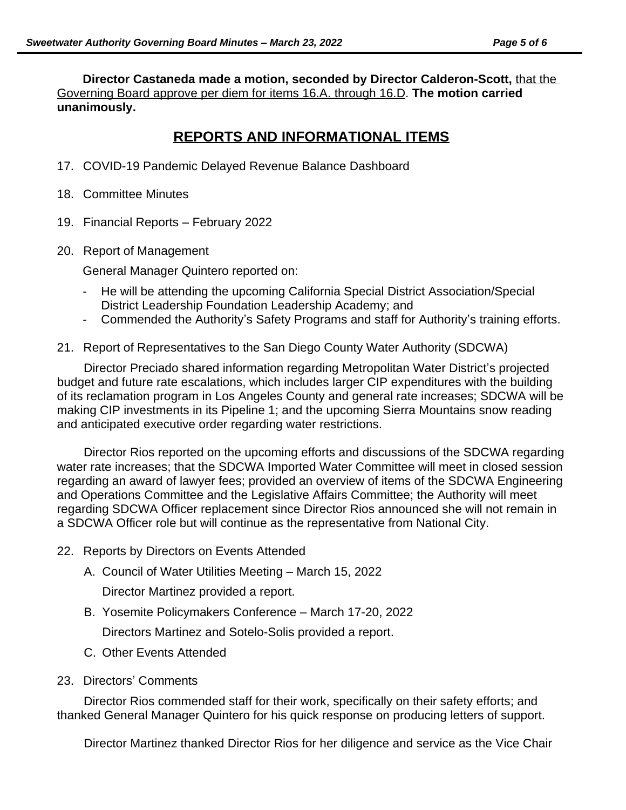**Director Castaneda made a motion, seconded by Director Calderon-Scott,** that the Governing Board approve per diem for items 16.A. through 16.D. **The motion carried unanimously.**

## **REPORTS AND INFORMATIONAL ITEMS**

- 17. COVID-19 Pandemic Delayed Revenue Balance Dashboard
- 18. Committee Minutes
- 19. Financial Reports February 2022
- 20. Report of Management

General Manager Quintero reported on:

- He will be attending the upcoming California Special District Association/Special District Leadership Foundation Leadership Academy; and
- Commended the Authority's Safety Programs and staff for Authority's training efforts.
- 21. Report of Representatives to the San Diego County Water Authority (SDCWA)

Director Preciado shared information regarding Metropolitan Water District's projected budget and future rate escalations, which includes larger CIP expenditures with the building of its reclamation program in Los Angeles County and general rate increases; SDCWA will be making CIP investments in its Pipeline 1; and the upcoming Sierra Mountains snow reading and anticipated executive order regarding water restrictions.

Director Rios reported on the upcoming efforts and discussions of the SDCWA regarding water rate increases; that the SDCWA Imported Water Committee will meet in closed session regarding an award of lawyer fees; provided an overview of items of the SDCWA Engineering and Operations Committee and the Legislative Affairs Committee; the Authority will meet regarding SDCWA Officer replacement since Director Rios announced she will not remain in a SDCWA Officer role but will continue as the representative from National City.

- 22. Reports by Directors on Events Attended
	- A. Council of Water Utilities Meeting March 15, 2022

Director Martinez provided a report.

B. Yosemite Policymakers Conference – March 17-20, 2022

Directors Martinez and Sotelo-Solis provided a report.

- C. Other Events Attended
- 23. Directors' Comments

Director Rios commended staff for their work, specifically on their safety efforts; and thanked General Manager Quintero for his quick response on producing letters of support.

Director Martinez thanked Director Rios for her diligence and service as the Vice Chair